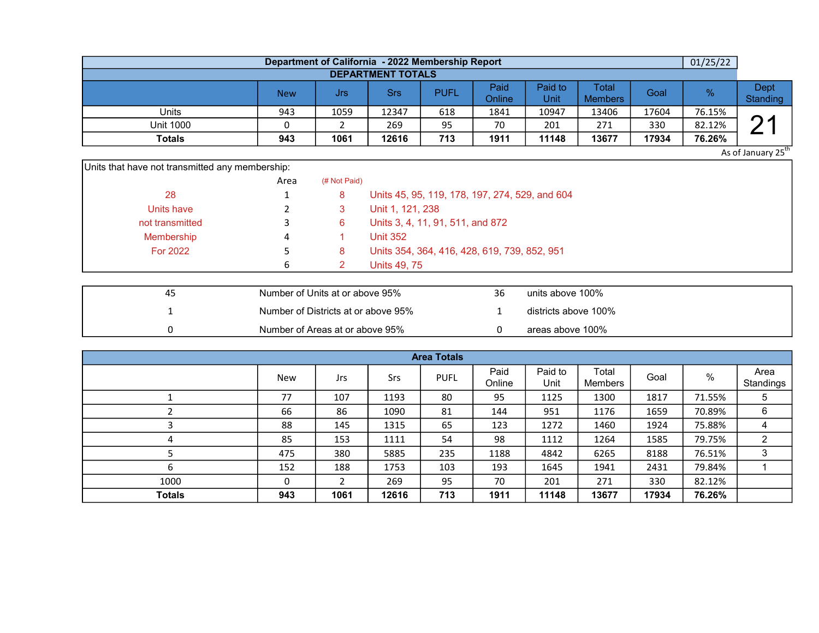|                          |            |      |       | Department of California - 2022 Membership Report |                |                 |                         |       | 01/25/22 |                  |  |  |  |
|--------------------------|------------|------|-------|---------------------------------------------------|----------------|-----------------|-------------------------|-------|----------|------------------|--|--|--|
| <b>DEPARTMENT TOTALS</b> |            |      |       |                                                   |                |                 |                         |       |          |                  |  |  |  |
|                          | <b>New</b> | Jrs  | Srs   | <b>PUFL</b>                                       | Paid<br>Online | Paid to<br>Unit | Total<br><b>Members</b> | Goal  | %        | Dept<br>Standing |  |  |  |
| Units                    | 943        | 1059 | 12347 | 618                                               | 1841           | 10947           | 13406                   | 17604 | 76.15%   |                  |  |  |  |
| <b>Unit 1000</b>         |            |      | 269   | 95                                                | 70             | 201             | 271                     | 330   | 82.12%   |                  |  |  |  |
| <b>Totals</b>            | 943        | 1061 | 12616 | 713                                               | 1911           | 11148           | 13677                   | 17934 | 76.26%   |                  |  |  |  |

As of January 25<sup>th</sup>

| Units that have not transmitted any membership: |      |              |                                                |
|-------------------------------------------------|------|--------------|------------------------------------------------|
|                                                 | Area | (# Not Paid) |                                                |
| 28                                              |      | 8            | Units 45, 95, 119, 178, 197, 274, 529, and 604 |
| Units have                                      |      |              | Unit 1, 121, 238                               |
| not transmitted                                 |      | 6            | Units 3, 4, 11, 91, 511, and 872               |
| Membership                                      | 4    |              | <b>Unit 352</b>                                |
| For 2022                                        |      | 8            | Units 354, 364, 416, 428, 619, 739, 852, 951   |
|                                                 | 6.   |              | Units 49, 75                                   |

| 45 | Number of Units at or above 95%     | 36 | units above 100%     |
|----|-------------------------------------|----|----------------------|
|    | Number of Districts at or above 95% |    | districts above 100% |
|    | Number of Areas at or above 95%     |    | areas above 100%     |

| <b>Area Totals</b> |     |      |       |             |                |                 |                         |       |        |                   |  |  |  |
|--------------------|-----|------|-------|-------------|----------------|-----------------|-------------------------|-------|--------|-------------------|--|--|--|
|                    | New | Jrs  | Srs   | <b>PUFL</b> | Paid<br>Online | Paid to<br>Unit | Total<br><b>Members</b> | Goal  | $\%$   | Area<br>Standings |  |  |  |
|                    | 77  | 107  | 1193  | 80          | 95             | 1125            | 1300                    | 1817  | 71.55% | $\sqrt{5}$        |  |  |  |
|                    | 66  | 86   | 1090  | 81          | 144            | 951             | 1176                    | 1659  | 70.89% | 6                 |  |  |  |
|                    | 88  | 145  | 1315  | 65          | 123            | 1272            | 1460                    | 1924  | 75.88% | 4                 |  |  |  |
| 4                  | 85  | 153  | 1111  | 54          | 98             | 1112            | 1264                    | 1585  | 79.75% | $\overline{c}$    |  |  |  |
|                    | 475 | 380  | 5885  | 235         | 1188           | 4842            | 6265                    | 8188  | 76.51% | 3                 |  |  |  |
| b                  | 152 | 188  | 1753  | 103         | 193            | 1645            | 1941                    | 2431  | 79.84% |                   |  |  |  |
| 1000               | 0   |      | 269   | 95          | 70             | 201             | 271                     | 330   | 82.12% |                   |  |  |  |
| <b>Totals</b>      | 943 | 1061 | 12616 | 713         | 1911           | 11148           | 13677                   | 17934 | 76.26% |                   |  |  |  |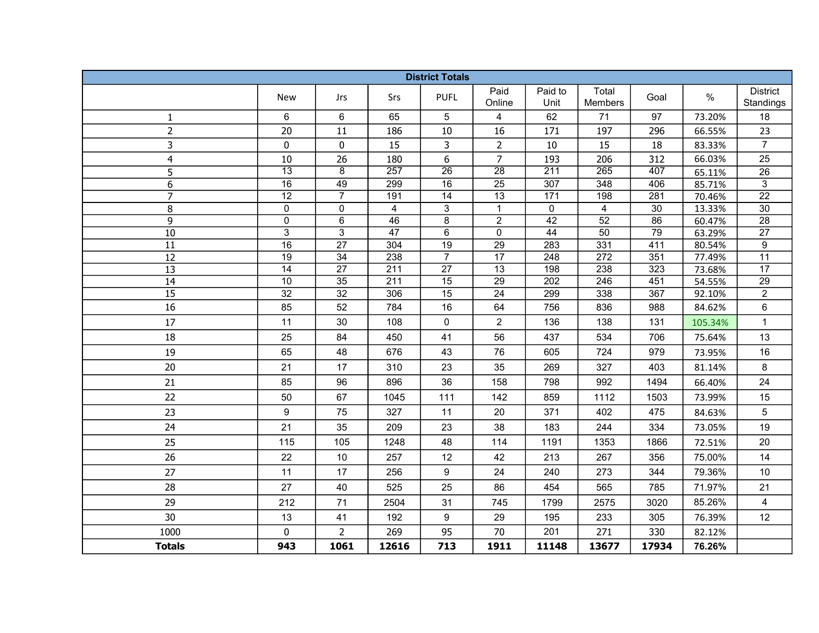| <b>District Totals</b>  |                                    |                                    |                         |                                   |                                    |                  |                  |            |                  |                              |  |
|-------------------------|------------------------------------|------------------------------------|-------------------------|-----------------------------------|------------------------------------|------------------|------------------|------------|------------------|------------------------------|--|
|                         | <b>New</b>                         | Jrs                                | Srs                     | <b>PUFL</b>                       | Paid<br>Online                     | Paid to<br>Unit  | Total<br>Members | Goal       | $\%$             | <b>District</b><br>Standings |  |
| $\mathbf{1}$            | 6                                  | 6                                  | 65                      | 5                                 | 4                                  | 62               | 71               | 97         | 73.20%           | 18                           |  |
| $\overline{2}$          | 20                                 | 11                                 | 186                     | 10                                | 16                                 | 171              | 197              | 296        | 66.55%           | 23                           |  |
| 3                       | $\mathbf 0$                        | 0                                  | 15                      | 3                                 | $\overline{2}$                     | 10               | 15               | 18         | 83.33%           | $\overline{7}$               |  |
| $\overline{\mathbf{4}}$ | 10                                 | 26                                 | 180                     | 6                                 | $\overline{7}$                     | 193              | 206              | 312        | 66.03%           | 25                           |  |
| 5                       | $\overline{13}$                    | $\overline{8}$                     | 257                     | $\overline{26}$                   | $\overline{28}$                    | 211              | $\overline{265}$ | 407        | 65.11%           | $\overline{26}$              |  |
| 6                       | $\overline{16}$                    | 49                                 | 299                     | $\overline{16}$                   | $\overline{25}$                    | $\overline{307}$ | 348              | 406        | 85.71%           | $\overline{3}$               |  |
| $\overline{7}$          | $\overline{12}$                    | $\overline{7}$                     | 191                     | $\overline{14}$                   | $\overline{13}$                    | $\overline{171}$ | 198              | 281        | 70.46%           | $\overline{22}$              |  |
| 8                       | $\mathsf 0$                        | 0                                  | $\overline{4}$          | 3                                 | $\mathbf{1}$                       | 0                | $\overline{4}$   | 30         | 13.33%           | $\overline{30}$              |  |
| 9                       | 0                                  | 6                                  | 46                      | 8                                 | $\overline{c}$                     | 42               | 52               | 86         | 60.47%           | $\overline{28}$              |  |
| 10                      | 3                                  | $\overline{3}$                     | 47                      | $6\overline{6}$                   | $\overline{0}$                     | 44               | 50               | 79         | 63.29%           | 27                           |  |
| $\overline{11}$         | $\overline{16}$                    | $\overline{27}$                    | 304                     | $\overline{19}$                   | $\overline{29}$                    | 283              | 331              | 411        | 80.54%           | 9                            |  |
| 12                      | $\overline{19}$<br>$\overline{14}$ | $\overline{34}$<br>$\overline{27}$ | 238<br>$\overline{211}$ | $\overline{7}$<br>$\overline{27}$ | $\overline{17}$<br>$\overline{13}$ | 248<br>198       | 272<br>238       | 351        | 77.49%           | 11<br>$\overline{17}$        |  |
| $\overline{13}$<br>14   | 10                                 | $\overline{35}$                    | $\overline{211}$        | $\overline{15}$                   | $\overline{29}$                    | 202              | $\overline{246}$ | 323<br>451 | 73.68%           | $\overline{29}$              |  |
| 15                      | $\overline{32}$                    | $\overline{32}$                    | 306                     | $\overline{15}$                   | $\overline{24}$                    | 299              | 338              | 367        | 54.55%<br>92.10% | $\overline{2}$               |  |
| 16                      | 85                                 | 52                                 | 784                     | 16                                | 64                                 | 756              | 836              | 988        | 84.62%           | 6                            |  |
| 17                      | 11                                 | 30                                 | 108                     | $\pmb{0}$                         | $\overline{c}$                     | 136              | 138              | 131        | 105.34%          | $\mathbf 1$                  |  |
|                         |                                    |                                    |                         |                                   |                                    |                  |                  |            |                  |                              |  |
| 18                      | 25                                 | 84                                 | 450                     | 41                                | 56                                 | 437              | 534              | 706        | 75.64%           | 13                           |  |
| 19                      | 65                                 | 48                                 | 676                     | 43                                | 76                                 | 605              | 724              | 979        | 73.95%           | 16                           |  |
| 20                      | 21                                 | 17                                 | 310                     | 23                                | 35                                 | 269              | 327              | 403        | 81.14%           | 8                            |  |
| 21                      | 85                                 | 96                                 | 896                     | 36                                | 158                                | 798              | 992              | 1494       | 66.40%           | 24                           |  |
| 22                      | 50                                 | 67                                 | 1045                    | 111                               | 142                                | 859              | 1112             | 1503       | 73.99%           | 15                           |  |
| 23                      | $\boldsymbol{9}$                   | 75                                 | 327                     | 11                                | 20                                 | 371              | 402              | 475        | 84.63%           | 5                            |  |
| 24                      | 21                                 | 35                                 | 209                     | 23                                | 38                                 | 183              | 244              | 334        | 73.05%           | 19                           |  |
| 25                      | 115                                | 105                                | 1248                    | 48                                | 114                                | 1191             | 1353             | 1866       | 72.51%           | 20                           |  |
| 26                      | 22                                 | $10$                               | 257                     | 12                                | 42                                 | 213              | 267              | 356        | 75.00%           | 14                           |  |
| 27                      | 11                                 | 17                                 | 256                     | 9                                 | 24                                 | 240              | 273              | 344        | 79.36%           | 10                           |  |
| 28                      | 27                                 | 40                                 | 525                     | 25                                | 86                                 | 454              | 565              | 785        | 71.97%           | 21                           |  |
| 29                      | 212                                | 71                                 | 2504                    | 31                                | 745                                | 1799             | 2575             | 3020       | 85.26%           | $\overline{4}$               |  |
| 30                      | 13                                 | 41                                 | 192                     | 9                                 | 29                                 | 195              | 233              | 305        | 76.39%           | 12                           |  |
| 1000                    | 0                                  | $\overline{2}$                     | 269                     | 95                                | 70                                 | 201              | 271              | 330        | 82.12%           |                              |  |
| <b>Totals</b>           | 943                                | 1061                               | 12616                   | 713                               | 1911                               | 11148            | 13677            | 17934      | 76.26%           |                              |  |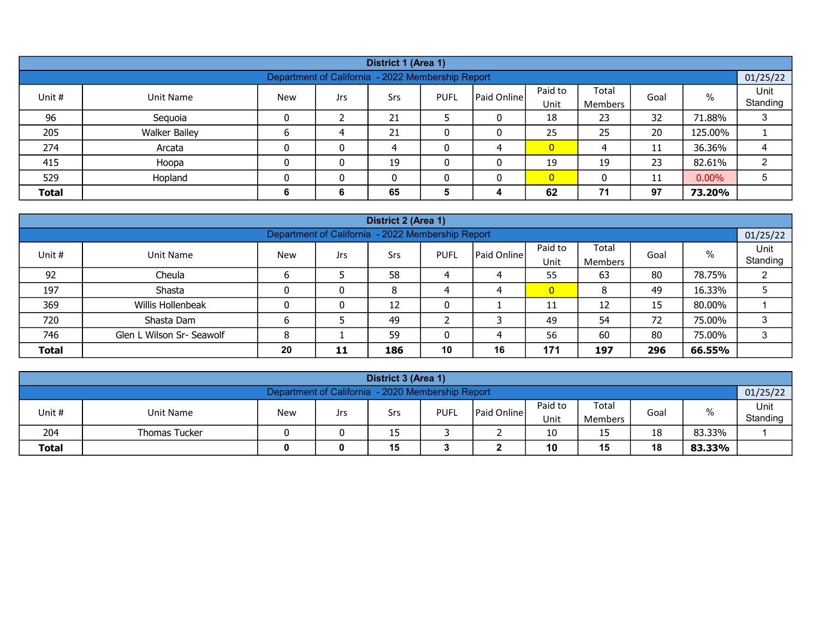|              | District 1 (Area 1)  |            |                                                   |     |             |             |                 |                         |      |          |                  |  |  |  |
|--------------|----------------------|------------|---------------------------------------------------|-----|-------------|-------------|-----------------|-------------------------|------|----------|------------------|--|--|--|
|              |                      |            | Department of California - 2022 Membership Report |     |             |             |                 |                         |      |          | 01/25/22         |  |  |  |
| Unit #       | Unit Name            | <b>New</b> | Jrs.                                              | Srs | <b>PUFL</b> | Paid Online | Paid to<br>Unit | Total<br><b>Members</b> | Goal | $\%$     | Unit<br>Standing |  |  |  |
| 96           | Sequoia              |            |                                                   | 21  |             | 0           | 18              | 23                      | 32   | 71.88%   |                  |  |  |  |
| 205          | <b>Walker Bailey</b> |            |                                                   | 21  |             |             | 25              | 25                      | 20   | 125.00%  |                  |  |  |  |
| 274          | Arcata               |            | 0                                                 | 4   |             |             | $\overline{0}$  | 4                       | 11   | 36.36%   |                  |  |  |  |
| 415          | Hoopa                |            | $\Omega$                                          | 19  |             |             | 19              | 19                      | 23   | 82.61%   |                  |  |  |  |
| 529          | Hopland              |            | 0                                                 | 0   |             | 0           | $\overline{0}$  | 0                       | 11   | $0.00\%$ |                  |  |  |  |
| <b>Total</b> |                      |            | 6                                                 | 65  |             | 4           | 62              | 71                      | 97   | 73.20%   |                  |  |  |  |

|              |                           |            |                                                   | District 2 (Area 1) |             |             |                 |                         |      |        |                  |
|--------------|---------------------------|------------|---------------------------------------------------|---------------------|-------------|-------------|-----------------|-------------------------|------|--------|------------------|
|              |                           |            | Department of California - 2022 Membership Report |                     |             |             |                 |                         |      |        | 01/25/22         |
| Unit #       | Unit Name                 | <b>New</b> | Jrs                                               | Srs                 | <b>PUFL</b> | Paid Online | Paid to<br>Unit | Total<br><b>Members</b> | Goal | %      | Unit<br>Standing |
| 92           | Cheula                    |            |                                                   | 58                  |             | 4           | 55              | 63                      | 80   | 78.75% |                  |
| 197          | Shasta                    |            |                                                   | 8                   |             | 4           | $\mathbf{0}$    |                         | 49   | 16.33% |                  |
| 369          | Willis Hollenbeak         |            |                                                   | 12                  |             |             | 11              | 12                      | 15   | 80.00% |                  |
| 720          | Shasta Dam                |            |                                                   | 49                  |             |             | 49              | 54                      | 72   | 75.00% | 3                |
| 746          | Glen L Wilson Sr- Seawolf | 8          |                                                   | 59                  |             | 4           | 56              | 60                      | 80   | 75.00% | 3                |
| <b>Total</b> |                           | 20         | 11                                                | 186                 | 10          | 16          | 171             | 197                     | 296  | 66.55% |                  |

|                                                   | District 3 (Area 1)  |            |     |     |             |                    |                 |                         |      |        |                  |  |  |
|---------------------------------------------------|----------------------|------------|-----|-----|-------------|--------------------|-----------------|-------------------------|------|--------|------------------|--|--|
| Department of California - 2020 Membership Report |                      |            |     |     |             |                    |                 |                         |      |        | 01/25/22         |  |  |
| Unit #                                            | Unit Name            | <b>New</b> | Jrs | Srs | <b>PUFL</b> | <b>Paid Online</b> | Paid to<br>Unit | Total<br><b>Members</b> | Goal | %      | Unit<br>Standing |  |  |
| 204                                               | <b>Thomas Tucker</b> |            |     | 15  |             | _                  | 10              | כו                      | 18   | 83.33% |                  |  |  |
| <b>Total</b>                                      |                      | Ω          |     | 15  |             | -                  | 10              | 15                      | 18   | 83.33% |                  |  |  |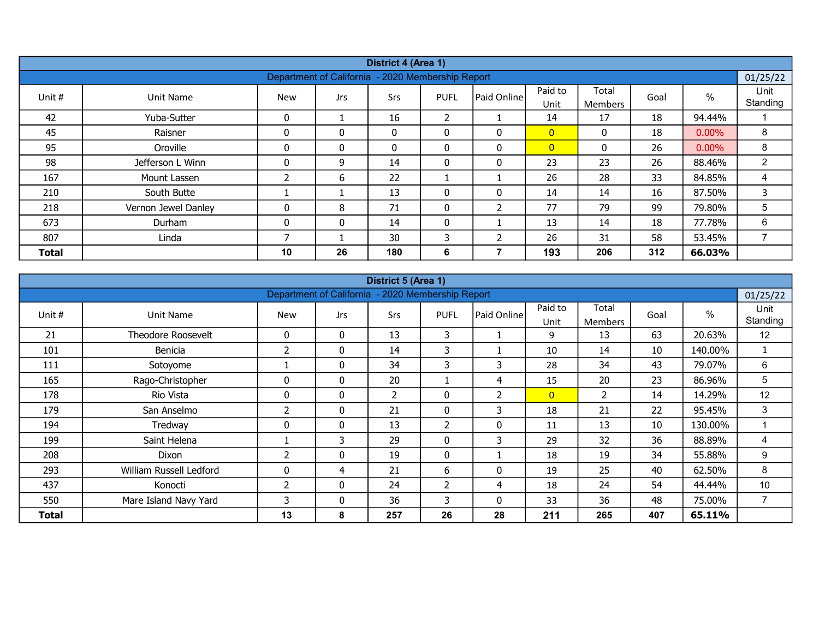|              |                     |            |                                                   | District 4 (Area 1) |                |                         |                 |                         |      |          |                  |
|--------------|---------------------|------------|---------------------------------------------------|---------------------|----------------|-------------------------|-----------------|-------------------------|------|----------|------------------|
|              |                     |            | Department of California - 2020 Membership Report |                     |                |                         |                 |                         |      |          | 01/25/22         |
| Unit #       | Unit Name           | <b>New</b> | Jrs                                               | Srs                 | <b>PUFL</b>    | Paid Online             | Paid to<br>Unit | Total<br><b>Members</b> | Goal | $\%$     | Unit<br>Standing |
| 42           | Yuba-Sutter         | 0          |                                                   | 16                  | $\overline{2}$ |                         | 14              | 17                      | 18   | 94.44%   |                  |
| 45           | Raisner             | 0          | $\Omega$                                          | $\mathbf{0}$        | 0              | 0                       | $\overline{0}$  | 0                       | 18   | $0.00\%$ | 8                |
| 95           | Oroville            | 0          | $\mathbf{0}$                                      | $\mathbf{0}$        | 0              | $\mathbf{0}$            | $\overline{0}$  | $\Omega$                | 26   | $0.00\%$ | 8                |
| 98           | Jefferson L Winn    | 0          | 9                                                 | 14                  | 0              | 0                       | 23              | 23                      | 26   | 88.46%   | $\overline{2}$   |
| 167          | Mount Lassen        |            | 6                                                 | 22                  |                |                         | 26              | 28                      | 33   | 84.85%   | 4                |
| 210          | South Butte         |            |                                                   | 13                  | 0              | $\mathbf{0}$            | 14              | 14                      | 16   | 87.50%   | 3                |
| 218          | Vernon Jewel Danley | 0          | 8                                                 | 71                  | 0              | $\overline{2}$          | 77              | 79                      | 99   | 79.80%   | 5                |
| 673          | Durham              | 0          | $\mathbf{0}$                                      | 14                  | $\mathbf{0}$   |                         | 13              | 14                      | 18   | 77.78%   | 6                |
| 807          | Linda               |            |                                                   | 30                  | 3              | $\overline{\mathbf{z}}$ | 26              | 31                      | 58   | 53.45%   | ⇁                |
| <b>Total</b> |                     | 10         | 26                                                | 180                 | 6              |                         | 193             | 206                     | 312  | 66.03%   |                  |

|        |                         |                |                                 | District 5 (Area 1)   |                          |                |                 |                         |      |         |                  |
|--------|-------------------------|----------------|---------------------------------|-----------------------|--------------------------|----------------|-----------------|-------------------------|------|---------|------------------|
|        |                         |                | <b>Department of California</b> |                       | - 2020 Membership Report |                |                 |                         |      |         | 01/25/22         |
| Unit # | Unit Name               | <b>New</b>     | <b>Jrs</b>                      | Srs                   | <b>PUFL</b>              | Paid Online    | Paid to<br>Unit | Total<br><b>Members</b> | Goal | %       | Unit<br>Standing |
| 21     | Theodore Roosevelt      | 0              | $\mathbf{0}$                    | 13                    | 3                        |                | 9               | 13                      | 63   | 20.63%  | 12               |
| 101    | Benicia                 | $\overline{2}$ | $\mathbf{0}$                    | 14                    | 3                        |                | 10              | 14                      | 10   | 140.00% | 1                |
| 111    | Sotoyome                |                | $\mathbf{0}$                    | 34                    | 3                        | 3              | 28              | 34                      | 43   | 79.07%  | 6                |
| 165    | Rago-Christopher        | 0              | $\mathbf{0}$                    | 20                    |                          | $\overline{4}$ | 15              | 20                      | 23   | 86.96%  | 5                |
| 178    | Rio Vista               | 0              | $\mathbf{0}$                    | $\mathbf{2}^{\prime}$ | 0                        | 2              | $\overline{0}$  | $\overline{2}$          | 14   | 14.29%  | 12               |
| 179    | San Anselmo             | 2              | 0                               | 21                    | 0                        | 3              | 18              | 21                      | 22   | 95.45%  | 3                |
| 194    | Tredway                 | 0              | $\mathbf{0}$                    | 13                    | $\overline{2}$           | 0              | 11              | 13                      | 10   | 130.00% | 1                |
| 199    | Saint Helena            |                | 3                               | 29                    | $\mathbf{0}$             | 3              | 29              | 32                      | 36   | 88.89%  | 4                |
| 208    | <b>Dixon</b>            | 2              | $\mathbf{0}$                    | 19                    | 0                        |                | 18              | 19                      | 34   | 55.88%  | 9                |
| 293    | William Russell Ledford | 0              | 4                               | 21                    | 6                        | 0              | 19              | 25                      | 40   | 62.50%  | 8                |
| 437    | Konocti                 | $\overline{2}$ | $\mathbf{0}$                    | 24                    | 2                        | 4              | 18              | 24                      | 54   | 44.44%  | 10               |
| 550    | Mare Island Navy Yard   | 3              | $\mathbf{0}$                    | 36                    | 3                        | $\mathbf{0}$   | 33              | 36                      | 48   | 75.00%  | $\overline{7}$   |
| Total  |                         | 13             | 8                               | 257                   | 26                       | 28             | 211             | 265                     | 407  | 65.11%  |                  |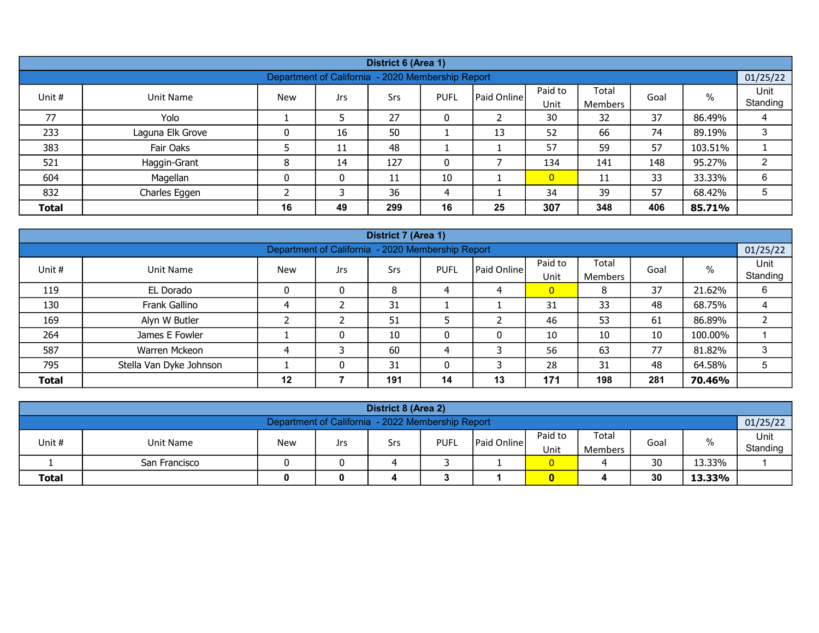|              |                  |            |     | District 6 (Area 1)                               |             |             |                 |                         |      |         |                  |
|--------------|------------------|------------|-----|---------------------------------------------------|-------------|-------------|-----------------|-------------------------|------|---------|------------------|
|              |                  |            |     | Department of California - 2020 Membership Report |             |             |                 |                         |      |         | 01/25/22         |
| Unit #       | Unit Name        | <b>New</b> | Jrs | Srs                                               | <b>PUFL</b> | Paid Online | Paid to<br>Unit | Total<br><b>Members</b> | Goal | %       | Unit<br>Standing |
| 77           | Yolo             |            |     | 27                                                | 0           |             | 30              | 32                      | 37   | 86.49%  | 4                |
| 233          | Laguna Elk Grove |            | 16  | 50                                                |             | 13          | 52              | 66                      | 74   | 89.19%  | 3                |
| 383          | Fair Oaks        |            | 11  | 48                                                |             |             | 57              | 59                      | 57   | 103.51% |                  |
| 521          | Haggin-Grant     | 8          | 14  | 127                                               | 0           |             | 134             | 141                     | 148  | 95.27%  | C                |
| 604          | Magellan         | 0          | 0   | 11                                                | 10          |             | $\overline{0}$  | 11                      | 33   | 33.33%  | 6                |
| 832          | Charles Eggen    |            |     | 36                                                | 4           |             | 34              | 39                      | 57   | 68.42%  | 5                |
| <b>Total</b> |                  | 16         | 49  | 299                                               | 16          | 25          | 307             | 348                     | 406  | 85.71%  |                  |

|              |                         |            |                                                   | District 7 (Area 1) |             |                    |                 |                  |      |         |                  |
|--------------|-------------------------|------------|---------------------------------------------------|---------------------|-------------|--------------------|-----------------|------------------|------|---------|------------------|
|              |                         |            | Department of California - 2020 Membership Report |                     |             |                    |                 |                  |      |         | 01/25/22         |
| Unit #       | Unit Name               | <b>New</b> | Jrs                                               | Srs                 | <b>PUFL</b> | <b>Paid Online</b> | Paid to<br>Unit | Total<br>Members | Goal | $\%$    | Unit<br>Standing |
| 119          | EL Dorado               |            | 0                                                 | 8                   |             |                    | $\overline{0}$  | 8                | 37   | 21.62%  | 6                |
| 130          | Frank Gallino           |            |                                                   | 31                  |             |                    | 31              | 33               | 48   | 68.75%  | 4                |
| 169          | Alyn W Butler           |            |                                                   | 51                  |             | L                  | 46              | 53               | 61   | 86.89%  | ∠                |
| 264          | James E Fowler          |            | 0                                                 | 10                  |             | 0                  | 10              | 10               | 10   | 100.00% |                  |
| 587          | Warren Mckeon           |            |                                                   | 60                  | 4           |                    | 56              | 63               | 77   | 81.82%  | 3                |
| 795          | Stella Van Dyke Johnson |            | $\mathbf{r}$                                      | 31                  |             |                    | 28              | 31               | 48   | 64.58%  | 5                |
| <b>Total</b> |                         | 12         |                                                   | 191                 | 14          | 13                 | 171             | 198              | 281  | 70.46%  |                  |

| District 8 (Area 2)                                                                                                                             |                                           |  |  |  |  |  |  |  |  |  |  |  |  |
|-------------------------------------------------------------------------------------------------------------------------------------------------|-------------------------------------------|--|--|--|--|--|--|--|--|--|--|--|--|
| Department of California - 2022 Membership Report                                                                                               |                                           |  |  |  |  |  |  |  |  |  |  |  |  |
| 01/25/22<br>Total<br>Paid to<br>%<br><b>IPaid Onlinel</b><br>Goal<br>Unit #<br>PUFL<br>Unit Name<br><b>New</b><br>Srs<br>Jrs<br>Unit<br>Members |                                           |  |  |  |  |  |  |  |  |  |  |  |  |
|                                                                                                                                                 | Standing<br>30<br>13.33%<br>San Francisco |  |  |  |  |  |  |  |  |  |  |  |  |
| <b>Total</b><br>30<br>13.33%<br>0<br>Ω                                                                                                          |                                           |  |  |  |  |  |  |  |  |  |  |  |  |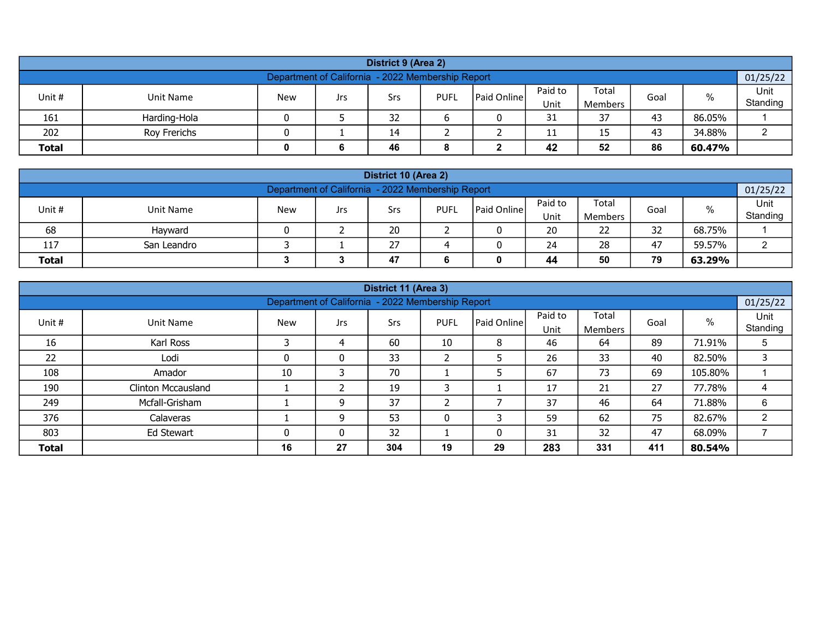| District 9 (Area 2)                                                                                                                                |                                                |  |  |    |  |  |    |    |    |        |  |  |  |  |
|----------------------------------------------------------------------------------------------------------------------------------------------------|------------------------------------------------|--|--|----|--|--|----|----|----|--------|--|--|--|--|
| Department of California - 2022 Membership Report<br>01/25/22                                                                                      |                                                |  |  |    |  |  |    |    |    |        |  |  |  |  |
| Paid to<br>Total<br>$\%$<br>Unit #<br><b>Paid Online</b><br><b>New</b><br><b>PUFL</b><br>Unit Name<br>Srs<br>Goal<br>Jrs<br>Unit<br><b>Members</b> |                                                |  |  |    |  |  |    |    |    |        |  |  |  |  |
| 161                                                                                                                                                | Harding-Hola                                   |  |  | 32 |  |  | 31 | 37 | 43 | 86.05% |  |  |  |  |
| 202                                                                                                                                                | 43<br>34.88%<br>Roy Frerichs<br>14<br>15<br>11 |  |  |    |  |  |    |    |    |        |  |  |  |  |
| 42<br>86<br><b>Total</b><br>52<br>60.47%<br>46<br>6                                                                                                |                                                |  |  |    |  |  |    |    |    |        |  |  |  |  |

| District 10 (Area 2)                                                                                                                         |                                               |  |  |    |  |  |    |    |    |        |  |  |  |  |
|----------------------------------------------------------------------------------------------------------------------------------------------|-----------------------------------------------|--|--|----|--|--|----|----|----|--------|--|--|--|--|
| Department of California - 2022 Membership Report<br>01/25/22                                                                                |                                               |  |  |    |  |  |    |    |    |        |  |  |  |  |
| Paid to<br>Total<br>$\%$<br><b>IPaid Online</b><br>Unit #<br><b>New</b><br><b>PUFL</b><br>Unit Name<br>Goal<br>Srs<br>Jrs<br>Unit<br>Members |                                               |  |  |    |  |  |    |    |    |        |  |  |  |  |
| 68                                                                                                                                           | Hayward                                       |  |  | 20 |  |  | 20 | 22 | 32 | 68.75% |  |  |  |  |
| 117                                                                                                                                          | 27<br>28<br>47<br>59.57%<br>San Leandro<br>24 |  |  |    |  |  |    |    |    |        |  |  |  |  |
| 79<br><b>Total</b><br>47<br>44<br>50<br>63.29%                                                                                               |                                               |  |  |    |  |  |    |    |    |        |  |  |  |  |

|                                                                                                                                                          |                    |          |                                                   | District 11 (Area 3) |    |    |     |     |     |         |          |  |  |
|----------------------------------------------------------------------------------------------------------------------------------------------------------|--------------------|----------|---------------------------------------------------|----------------------|----|----|-----|-----|-----|---------|----------|--|--|
|                                                                                                                                                          |                    |          | Department of California - 2022 Membership Report |                      |    |    |     |     |     |         | 01/25/22 |  |  |
| Paid to<br>Total<br>%<br>Unit #<br><b>PUFL</b><br>l Paid Online l<br><b>Unit Name</b><br><b>New</b><br>Srs<br>Goal<br>Jrs<br>Standing<br>Unit<br>Members |                    |          |                                                   |                      |    |    |     |     |     |         |          |  |  |
| 16                                                                                                                                                       | Karl Ross          |          |                                                   | 60                   | 10 | 8  | 46  | 64  | 89  | 71.91%  | 5        |  |  |
| 22                                                                                                                                                       | Lodi               | $\Omega$ | 0                                                 | 33                   | ว  |    | 26  | 33  | 40  | 82.50%  | 3        |  |  |
| 108                                                                                                                                                      | Amador             | 10       |                                                   | 70                   |    | 5  | 67  | 73  | 69  | 105.80% |          |  |  |
| 190                                                                                                                                                      | Clinton Mccausland |          |                                                   | 19                   | ∍  |    | 17  | 21  | 27  | 77.78%  | 4        |  |  |
| 249                                                                                                                                                      | Mcfall-Grisham     |          | 9                                                 | 37                   |    |    | 37  | 46  | 64  | 71.88%  | 6        |  |  |
| 376<br>53<br>62<br>75<br>$\overline{2}$<br>82.67%<br>0<br>Calaveras<br>9<br>59                                                                           |                    |          |                                                   |                      |    |    |     |     |     |         |          |  |  |
| 803<br>32<br>32<br>47<br>68.09%<br>Ed Stewart<br>31<br>0<br>0                                                                                            |                    |          |                                                   |                      |    |    |     |     |     |         |          |  |  |
| <b>Total</b>                                                                                                                                             |                    | 16       | 27                                                | 304                  | 19 | 29 | 283 | 331 | 411 | 80.54%  |          |  |  |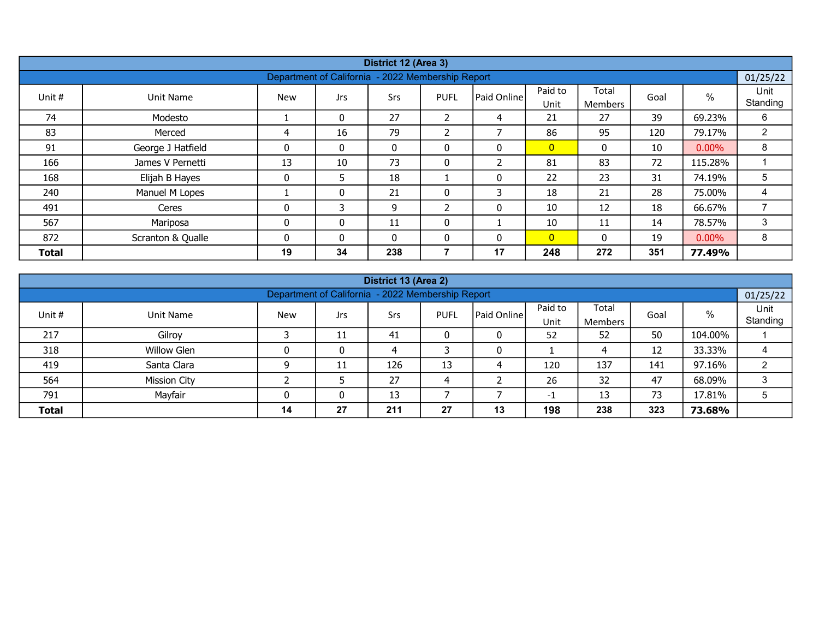|              |                   |              |              | District 12 (Area 3)                              |              |                          |                 |                  |      |          |                  |
|--------------|-------------------|--------------|--------------|---------------------------------------------------|--------------|--------------------------|-----------------|------------------|------|----------|------------------|
|              |                   |              |              | Department of California - 2022 Membership Report |              |                          |                 |                  |      |          | 01/25/22         |
| Unit #       | Unit Name         | <b>New</b>   | <b>Jrs</b>   | Srs                                               | <b>PUFL</b>  | Paid Online              | Paid to<br>Unit | Total<br>Members | Goal | %        | Unit<br>Standing |
| 74           | Modesto           |              | 0            | 27                                                | 2            | 4                        | 21              | 27               | 39   | 69.23%   | 6                |
| 83           | Merced            | 4            | 16           | 79                                                | 2            | ⇁                        | 86              | 95               | 120  | 79.17%   | $\overline{2}$   |
| 91           | George J Hatfield | 0            | $\mathbf{0}$ | $\mathbf{0}$                                      | $\mathbf{0}$ | 0                        | $\overline{0}$  | 0                | 10   | $0.00\%$ | 8                |
| 166          | James V Pernetti  | 13           | 10           | 73                                                | 0            | $\overline{\mathcal{L}}$ | 81              | 83               | 72   | 115.28%  |                  |
| 168          | Elijah B Hayes    | $\mathbf{0}$ | 5            | 18                                                |              | $\mathbf{0}$             | 22              | 23               | 31   | 74.19%   | 5                |
| 240          | Manuel M Lopes    |              | $\mathbf{0}$ | 21                                                | 0            | 3                        | 18              | 21               | 28   | 75.00%   | 4                |
| 491          | Ceres             | 0            | 3            | 9                                                 | ົາ           | 0                        | 10              | 12               | 18   | 66.67%   | ⇁                |
| 567          | Mariposa          | 0            | $\mathbf{0}$ | 11                                                | 0            |                          | 10              | 11               | 14   | 78.57%   | 3                |
| 872          | Scranton & Qualle | $\Omega$     | $\Omega$     | $\Omega$                                          | 0            | $\mathbf{0}$             | $\overline{0}$  | $\Omega$         | 19   | $0.00\%$ | 8                |
| <b>Total</b> |                   | 19           | 34           | 238                                               | 7            | 17                       | 248             | 272              | 351  | 77.49%   |                  |

| District 13 (Area 2)                                                                                                                              |                                                               |    |    |     |    |    |     |     |     |         |   |  |  |  |  |
|---------------------------------------------------------------------------------------------------------------------------------------------------|---------------------------------------------------------------|----|----|-----|----|----|-----|-----|-----|---------|---|--|--|--|--|
|                                                                                                                                                   | Department of California - 2022 Membership Report<br>01/25/22 |    |    |     |    |    |     |     |     |         |   |  |  |  |  |
| Paid to<br>Total<br>%<br>l Paid Online l<br>Unit #<br><b>PUFL</b><br><b>New</b><br>Goal<br>Unit Name<br>Srs<br>Jrs<br>Standing<br>Unit<br>Members |                                                               |    |    |     |    |    |     |     |     |         |   |  |  |  |  |
| 217                                                                                                                                               | Gilroy                                                        |    | 11 | 41  |    |    | 52  | 52  | 50  | 104.00% |   |  |  |  |  |
| 318                                                                                                                                               | <b>Willow Glen</b>                                            |    | 0  |     |    |    |     |     | 12  | 33.33%  |   |  |  |  |  |
| 419                                                                                                                                               | Santa Clara                                                   |    | 11 | 126 | 13 | 4  | 120 | 137 | 141 | 97.16%  |   |  |  |  |  |
| 564                                                                                                                                               | <b>Mission City</b>                                           |    |    | 27  |    |    | 26  | 32  | 47  | 68.09%  |   |  |  |  |  |
| 791                                                                                                                                               | Mayfair                                                       |    | 0  | 13  |    |    | -1  | 13  | 73  | 17.81%  | 5 |  |  |  |  |
| <b>Total</b>                                                                                                                                      |                                                               | 14 | 27 | 211 | 27 | 13 | 198 | 238 | 323 | 73.68%  |   |  |  |  |  |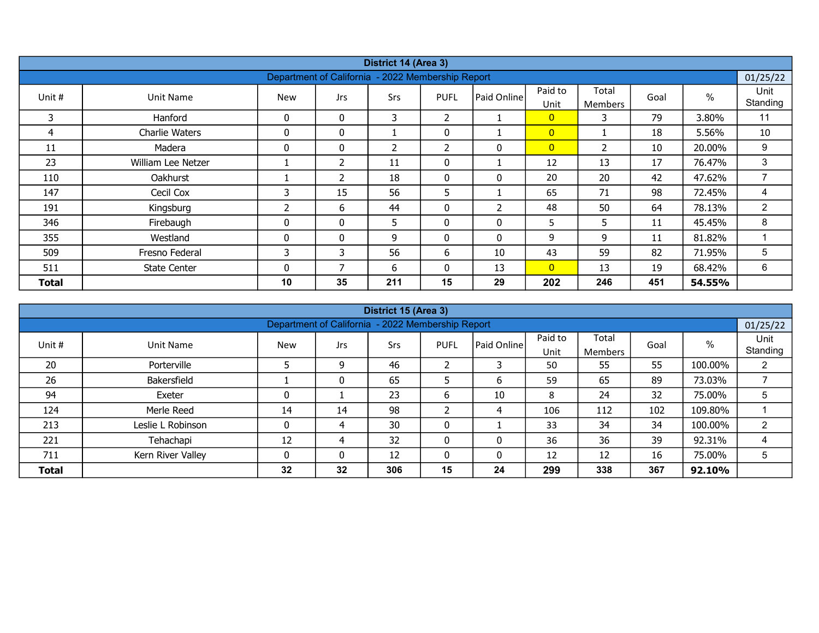| District 14 (Area 3)<br>Department of California - 2022 Membership Report |                     |                |                |     |                |                |                 |                         |      |        |                  |  |  |
|---------------------------------------------------------------------------|---------------------|----------------|----------------|-----|----------------|----------------|-----------------|-------------------------|------|--------|------------------|--|--|
|                                                                           |                     |                |                |     |                |                |                 |                         |      |        | 01/25/22         |  |  |
| Unit #                                                                    | Unit Name           | <b>New</b>     | <b>Jrs</b>     | Srs | <b>PUFL</b>    | Paid Online    | Paid to<br>Unit | Total<br><b>Members</b> | Goal | $\%$   | Unit<br>Standing |  |  |
| 3                                                                         | Hanford             | $\mathbf{0}$   | $\mathbf{0}$   | 3   | $\overline{2}$ |                | $\overline{0}$  | 3                       | 79   | 3.80%  | 11               |  |  |
| 4                                                                         | Charlie Waters      | 0              | 0              |     | 0              |                | $\overline{0}$  |                         | 18   | 5.56%  | 10               |  |  |
| 11                                                                        | Madera              | 0              | 0              | 2   | $\overline{2}$ | 0              | $\overline{0}$  | 2                       | 10   | 20.00% | 9                |  |  |
| 23                                                                        | William Lee Netzer  |                | $\overline{2}$ | 11  | 0              |                | 12              | 13                      | 17   | 76.47% | 3                |  |  |
| 110                                                                       | Oakhurst            |                | $\overline{2}$ | 18  | $\mathbf{0}$   | 0              | 20              | 20                      | 42   | 47.62% | $\overline{7}$   |  |  |
| 147                                                                       | Cecil Cox           | 3              | 15             | 56  | 5              |                | 65              | 71                      | 98   | 72.45% | 4                |  |  |
| 191                                                                       | Kingsburg           | $\overline{2}$ | 6              | 44  | $\mathbf{0}$   | $\overline{2}$ | 48              | 50                      | 64   | 78.13% | $\overline{2}$   |  |  |
| 346                                                                       | Firebaugh           | 0              | $\mathbf{0}$   | 5.  | $\mathbf{0}$   | 0              | 5               | 5                       | 11   | 45.45% | 8                |  |  |
| 355                                                                       | Westland            | $\mathbf{0}$   | 0              | 9   | $\mathbf{0}$   | $\mathbf{0}$   | 9               | 9                       | 11   | 81.82% |                  |  |  |
| 509                                                                       | Fresno Federal      | 3              | 3              | 56  | 6              | 10             | 43              | 59                      | 82   | 71.95% | 5                |  |  |
| 511                                                                       | <b>State Center</b> | 0              | 7              | 6   | 0              | 13             | $\overline{0}$  | 13                      | 19   | 68.42% | 6                |  |  |
| Total                                                                     |                     | 10             | 35             | 211 | 15             | 29             | 202             | 246                     | 451  | 54.55% |                  |  |  |

|                                                                                                                                                         |                   |    |    | District 15 (Area 3)                              |    |    |     |     |     |         |                |  |  |
|---------------------------------------------------------------------------------------------------------------------------------------------------------|-------------------|----|----|---------------------------------------------------|----|----|-----|-----|-----|---------|----------------|--|--|
|                                                                                                                                                         |                   |    |    | Department of California - 2022 Membership Report |    |    |     |     |     |         | 01/25/22       |  |  |
| Paid to<br>Total<br>$\%$<br>Paid Online<br>Unit #<br><b>PUFL</b><br>Unit Name<br><b>New</b><br>Srs<br>Goal<br>Jrs<br>Standing<br>Unit<br><b>Members</b> |                   |    |    |                                                   |    |    |     |     |     |         |                |  |  |
| 20                                                                                                                                                      | Porterville       |    | 9  | 46                                                |    | 3  | 50  | 55  | 55  | 100.00% | $\overline{2}$ |  |  |
| 26                                                                                                                                                      | Bakersfield       |    | 0  | 65                                                |    | 6  | 59  | 65  | 89  | 73.03%  |                |  |  |
| 94                                                                                                                                                      | Exeter            | 0  |    | 23                                                | b  | 10 | 8   | 24  | 32  | 75.00%  | 5              |  |  |
| 124                                                                                                                                                     | Merle Reed        | 14 | 14 | 98                                                |    | 4  | 106 | 112 | 102 | 109.80% |                |  |  |
| 213                                                                                                                                                     | Leslie L Robinson | 0  | 4  | 30                                                | 0  |    | 33  | 34  | 34  | 100.00% | 2              |  |  |
| 32<br>36<br>39<br>Tehachapi<br>92.31%<br>221<br>12<br>36<br>0<br>0<br>4                                                                                 |                   |    |    |                                                   |    |    |     |     |     |         |                |  |  |
| 16<br>12<br>75.00%<br>711<br>Kern River Valley<br>12<br>5<br>$\mathbf{0}$<br>0<br>12                                                                    |                   |    |    |                                                   |    |    |     |     |     |         |                |  |  |
| <b>Total</b>                                                                                                                                            |                   | 32 | 32 | 306                                               | 15 | 24 | 299 | 338 | 367 | 92.10%  |                |  |  |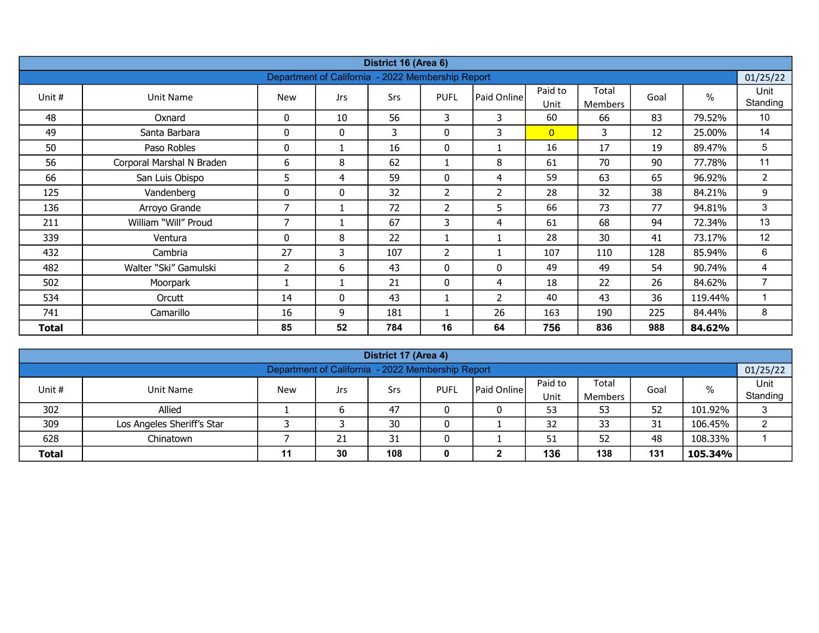|              |                           |     |                                                   | District 16 (Area 6) |                |                |                |                |      |               |                |
|--------------|---------------------------|-----|---------------------------------------------------|----------------------|----------------|----------------|----------------|----------------|------|---------------|----------------|
|              |                           |     | Department of California - 2022 Membership Report |                      |                |                |                |                |      |               | 01/25/22       |
| Unit #       | Unit Name                 | New | <b>Jrs</b>                                        | Srs                  | <b>PUFL</b>    | Paid Online    | Paid to        | Total          | Goal | $\frac{0}{0}$ | Unit           |
|              |                           |     |                                                   |                      |                |                | Unit           | <b>Members</b> |      |               | Standing       |
| 48           | Oxnard                    | 0   | 10                                                | 56                   | 3              | 3              | 60             | 66             | 83   | 79.52%        | 10             |
| 49           | Santa Barbara             | 0   | 0                                                 | 3                    | 0              | 3              | $\overline{0}$ | 3              | 12   | 25.00%        | 14             |
| 50           | Paso Robles               | 0   |                                                   | 16                   | 0              |                | 16             | 17             | 19   | 89.47%        | 5              |
| 56           | Corporal Marshal N Braden | 6   | 8                                                 | 62                   | $\mathbf{1}$   | 8              | 61             | 70             | 90   | 77.78%        | 11             |
| 66           | San Luis Obispo           | 5   | 4                                                 | 59                   | 0              | 4              | 59             | 63             | 65   | 96.92%        | $\overline{2}$ |
| 125          | Vandenberg                | 0   | $\mathbf{0}$                                      | 32                   | $\overline{2}$ | $\overline{2}$ | 28             | 32             | 38   | 84.21%        | 9              |
| 136          | Arroyo Grande             | 7   |                                                   | 72                   | $\overline{2}$ | 5              | 66             | 73             | 77   | 94.81%        | 3              |
| 211          | William "Will" Proud      | 7   |                                                   | 67                   | 3              | 4              | 61             | 68             | 94   | 72.34%        | 13             |
| 339          | Ventura                   | 0   | 8                                                 | 22                   |                | 1              | 28             | 30             | 41   | 73.17%        | 12             |
| 432          | Cambria                   | 27  | 3                                                 | 107                  | $\overline{2}$ | 1              | 107            | 110            | 128  | 85.94%        | 6              |
| 482          | Walter "Ski" Gamulski     | 2   | 6                                                 | 43                   | 0              | 0              | 49             | 49             | 54   | 90.74%        | 4              |
| 502          | Moorpark                  |     | 1                                                 | 21                   | 0              | 4              | 18             | 22             | 26   | 84.62%        | $\overline{7}$ |
| 534          | Orcutt                    | 14  | $\mathbf{0}$                                      | 43                   |                | $\overline{2}$ | 40             | 43             | 36   | 119.44%       |                |
| 741          | Camarillo                 | 16  | 9                                                 | 181                  |                | 26             | 163            | 190            | 225  | 84.44%        | 8              |
| <b>Total</b> |                           | 85  | 52                                                | 784                  | 16             | 64             | 756            | 836            | 988  | 84.62%        |                |

| District 17 (Area 4)                                                                                                                     |                                                       |  |  |    |  |  |    |    |    |         |   |  |  |  |
|------------------------------------------------------------------------------------------------------------------------------------------|-------------------------------------------------------|--|--|----|--|--|----|----|----|---------|---|--|--|--|
| Department of California - 2022 Membership Report<br>01/25/22                                                                            |                                                       |  |  |    |  |  |    |    |    |         |   |  |  |  |
| Paid to<br>Total<br>%<br><b>Paid Online</b><br>Unit #<br><b>New</b><br><b>PUFL</b><br>Goal<br>Unit Name<br>Srs<br>Jrs<br>Unit<br>Members |                                                       |  |  |    |  |  |    |    |    |         |   |  |  |  |
| 302                                                                                                                                      | Standing<br>52<br>Allied<br>47<br>53<br>101.92%<br>53 |  |  |    |  |  |    |    |    |         |   |  |  |  |
| 309                                                                                                                                      | Los Angeles Sheriff's Star                            |  |  | 30 |  |  | 32 | 33 | 31 | 106.45% | ⌒ |  |  |  |
| 628                                                                                                                                      | 48<br>52<br>108.33%<br>Chinatown<br>31<br>21<br>51    |  |  |    |  |  |    |    |    |         |   |  |  |  |
| 136<br>108<br>131<br>30<br>138<br><b>Total</b><br>105.34%<br>11                                                                          |                                                       |  |  |    |  |  |    |    |    |         |   |  |  |  |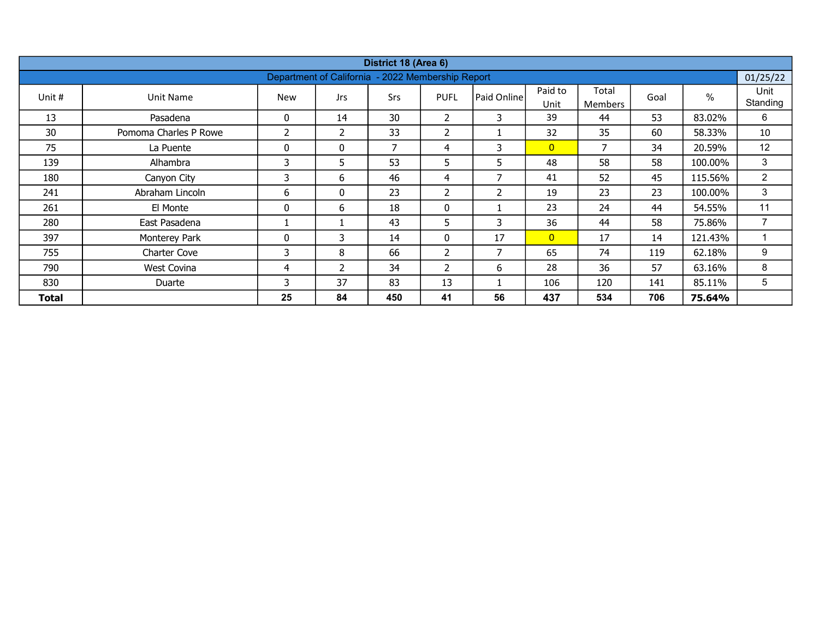|        |                       |              |                          | District 18 (Area 6) |                          |                |                 |                         |      |         |                  |
|--------|-----------------------|--------------|--------------------------|----------------------|--------------------------|----------------|-----------------|-------------------------|------|---------|------------------|
|        |                       |              | Department of California |                      | - 2022 Membership Report |                |                 |                         |      |         | 01/25/22         |
| Unit # | <b>Unit Name</b>      | <b>New</b>   | <b>Jrs</b>               | Srs                  | <b>PUFL</b>              | Paid Online    | Paid to<br>Unit | Total<br><b>Members</b> | Goal | $\%$    | Unit<br>Standing |
| 13     | Pasadena              | $\mathbf 0$  | 14                       | 30                   | $\overline{2}$           | 3              | 39              | 44                      | 53   | 83.02%  | 6                |
| 30     | Pomoma Charles P Rowe | 2            | 2                        | 33                   | 2                        |                | 32              | 35                      | 60   | 58.33%  | 10               |
| 75     | La Puente             | $\mathbf{0}$ | $\mathbf{0}$             | 7                    | 4                        | 3              | $\overline{0}$  | 7                       | 34   | 20.59%  | 12               |
| 139    | Alhambra              | 3            | 5                        | 53                   | 5                        | 5              | 48              | 58                      | 58   | 100.00% | 3                |
| 180    | Canyon City           | 3            | 6                        | 46                   | 4                        | 7              | 41              | 52                      | 45   | 115.56% | $\overline{2}$   |
| 241    | Abraham Lincoln       | 6            | $\mathbf{0}$             | 23                   | $\overline{2}$           | $\overline{2}$ | 19              | 23                      | 23   | 100.00% | 3                |
| 261    | El Monte              | 0            | 6                        | 18                   | 0                        |                | 23              | 24                      | 44   | 54.55%  | 11               |
| 280    | East Pasadena         |              |                          | 43                   | 5                        | 3              | 36              | 44                      | 58   | 75.86%  | $\overline{7}$   |
| 397    | Monterey Park         | 0            | 3                        | 14                   | $\mathbf{0}$             | 17             | $\overline{0}$  | 17                      | 14   | 121.43% |                  |
| 755    | <b>Charter Cove</b>   | 3            | 8                        | 66                   | 2                        | 7              | 65              | 74                      | 119  | 62.18%  | 9                |
| 790    | West Covina           | 4            | 2                        | 34                   | $\overline{2}$           | 6              | 28              | 36                      | 57   | 63.16%  | 8                |
| 830    | Duarte                | 3            | 37                       | 83                   | 13                       |                | 106             | 120                     | 141  | 85.11%  | 5                |
| Total  |                       | 25           | 84                       | 450                  | 41                       | 56             | 437             | 534                     | 706  | 75.64%  |                  |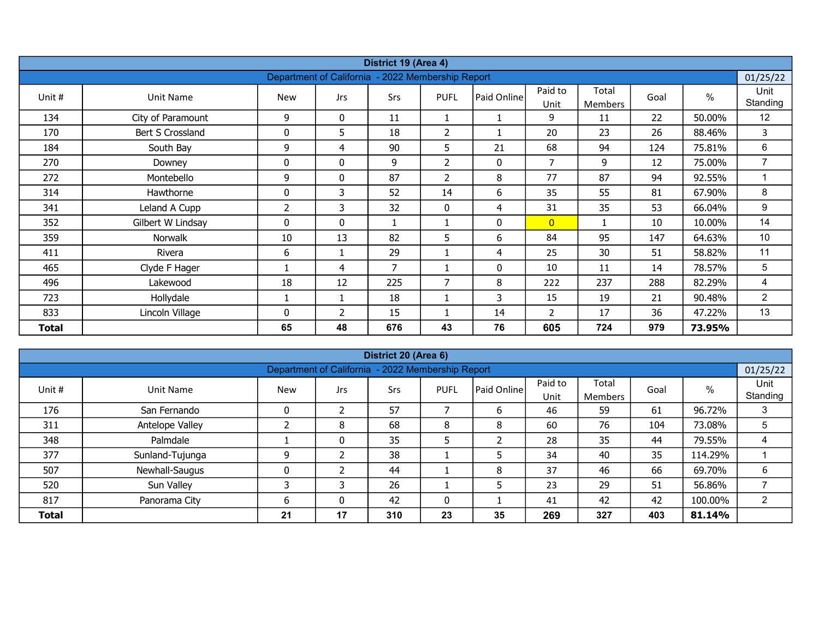|        |                   |              |                                                   | District 19 (Area 4) |                |              |                 |                         |      |        |                  |
|--------|-------------------|--------------|---------------------------------------------------|----------------------|----------------|--------------|-----------------|-------------------------|------|--------|------------------|
|        |                   |              | Department of California - 2022 Membership Report |                      |                |              |                 |                         |      |        | 01/25/22         |
| Unit # | Unit Name         | <b>New</b>   | Jrs                                               | Srs                  | <b>PUFL</b>    | Paid Online  | Paid to<br>Unit | Total<br><b>Members</b> | Goal | $\%$   | Unit<br>Standing |
| 134    | City of Paramount | 9            | 0                                                 | 11                   | 1              |              | 9               | 11                      | 22   | 50.00% | 12               |
| 170    | Bert S Crossland  | 0            | 5                                                 | 18                   | $\overline{2}$ |              | 20              | 23                      | 26   | 88.46% | 3                |
| 184    | South Bay         | 9            | 4                                                 | 90                   | 5              | 21           | 68              | 94                      | 124  | 75.81% | 6                |
| 270    | Downey            | $\mathbf{0}$ | 0                                                 | 9                    | $\overline{2}$ | $\mathbf{0}$ | $\overline{7}$  | 9                       | 12   | 75.00% | $\overline{7}$   |
| 272    | Montebello        | 9            | 0                                                 | 87                   | $\overline{2}$ | 8            | 77              | 87                      | 94   | 92.55% |                  |
| 314    | Hawthorne         | 0            | 3                                                 | 52                   | 14             | 6            | 35              | 55                      | 81   | 67.90% | 8                |
| 341    | Leland A Cupp     | 2            | 3                                                 | 32                   | 0              | 4            | 31              | 35                      | 53   | 66.04% | 9                |
| 352    | Gilbert W Lindsay | $\mathbf{0}$ | 0                                                 | $\mathbf{1}$         |                | 0            | $\overline{0}$  | -1                      | 10   | 10.00% | 14               |
| 359    | Norwalk           | 10           | 13                                                | 82                   | 5 <sup>5</sup> | 6            | 84              | 95                      | 147  | 64.63% | 10               |
| 411    | Rivera            | 6            | $\mathbf{1}$                                      | 29                   | $\mathbf{1}$   | 4            | 25              | 30                      | 51   | 58.82% | 11               |
| 465    | Clyde F Hager     |              | 4                                                 | $\overline{7}$       |                | 0            | 10              | 11                      | 14   | 78.57% | 5                |
| 496    | Lakewood          | 18           | 12                                                | 225                  | $\overline{7}$ | 8            | 222             | 237                     | 288  | 82.29% | 4                |
| 723    | Hollydale         |              | $\mathbf{1}$                                      | 18                   |                | 3            | 15              | 19                      | 21   | 90.48% | $\overline{2}$   |
| 833    | Lincoln Village   | $\mathbf{0}$ | 2                                                 | 15                   |                | 14           | 2               | 17                      | 36   | 47.22% | 13               |
| Total  |                   | 65           | 48                                                | 676                  | 43             | 76           | 605             | 724                     | 979  | 73.95% |                  |

| District 20 (Area 6)<br>01/25/22                                                                                                                         |                 |    |    |     |    |    |     |     |     |         |   |  |  |  |
|----------------------------------------------------------------------------------------------------------------------------------------------------------|-----------------|----|----|-----|----|----|-----|-----|-----|---------|---|--|--|--|
| Department of California - 2022 Membership Report                                                                                                        |                 |    |    |     |    |    |     |     |     |         |   |  |  |  |
| Paid to<br>Total<br>%<br>Unit #<br><b>PUFL</b><br>l Paid Online l<br>Unit Name<br><b>New</b><br>Goal<br>Srs<br>Jrs<br>Standing<br>Unit<br><b>Members</b> |                 |    |    |     |    |    |     |     |     |         |   |  |  |  |
| 176                                                                                                                                                      | San Fernando    | 0  |    | 57  |    | b  | 46  | 59  | 61  | 96.72%  | 3 |  |  |  |
| 311                                                                                                                                                      | Antelope Valley |    | 8  | 68  | 8  | 8  | 60  | 76  | 104 | 73.08%  | 5 |  |  |  |
| 348                                                                                                                                                      | Palmdale        |    | 0  | 35  |    |    | 28  | 35  | 44  | 79.55%  | 4 |  |  |  |
| 377                                                                                                                                                      | Sunland-Tujunga | 9  |    | 38  |    | 5  | 34  | 40  | 35  | 114.29% |   |  |  |  |
| 507                                                                                                                                                      | Newhall-Saugus  |    |    | 44  |    | 8  | 37  | 46  | 66  | 69.70%  | 6 |  |  |  |
| 520                                                                                                                                                      | Sun Valley      |    |    | 26  |    | 5  | 23  | 29  | 51  | 56.86%  |   |  |  |  |
| 817<br>42<br>42<br>42<br>100.00%<br>41<br>0<br>Panorama City<br>ь                                                                                        |                 |    |    |     |    |    |     |     |     |         |   |  |  |  |
| <b>Total</b>                                                                                                                                             |                 | 21 | 17 | 310 | 23 | 35 | 269 | 327 | 403 | 81.14%  |   |  |  |  |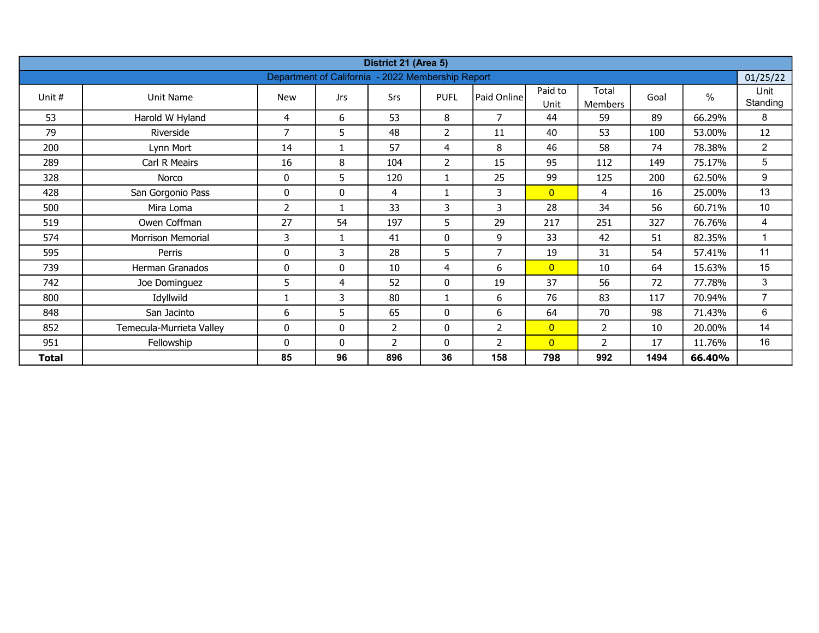| District 21 (Area 5) |                          |                |                                 |                |                          |                    |                 |                         |      |        |                  |  |  |  |
|----------------------|--------------------------|----------------|---------------------------------|----------------|--------------------------|--------------------|-----------------|-------------------------|------|--------|------------------|--|--|--|
|                      |                          |                | <b>Department of California</b> |                | - 2022 Membership Report |                    |                 |                         |      |        | 01/25/22         |  |  |  |
| Unit #               | Unit Name                | <b>New</b>     | <b>Jrs</b>                      | Srs            | <b>PUFL</b>              | <b>Paid Online</b> | Paid to<br>Unit | Total<br><b>Members</b> | Goal | %      | Unit<br>Standing |  |  |  |
| 53                   | Harold W Hyland          | 4              | 6                               | 53             | 8                        | 7                  | 44              | 59                      | 89   | 66.29% | 8                |  |  |  |
| 79                   | Riverside                | $\overline{7}$ | 5                               | 48             | $\overline{2}$           | 11                 | 40              | 53                      | 100  | 53.00% | 12               |  |  |  |
| 200                  | Lynn Mort                | 14             | 1                               | 57             | 4                        | 8                  | 46              | 58                      | 74   | 78.38% | $\overline{2}$   |  |  |  |
| 289                  | Carl R Meairs            | 16             | 8                               | 104            | $\overline{2}$           | 15                 | 95              | 112                     | 149  | 75.17% | 5                |  |  |  |
| 328                  | Norco                    | 0              | 5                               | 120            |                          | 25                 | 99              | 125                     | 200  | 62.50% | 9                |  |  |  |
| 428                  | San Gorgonio Pass        | 0              | 0                               | 4              |                          | 3                  | $\overline{0}$  | 4                       | 16   | 25.00% | 13               |  |  |  |
| 500                  | Mira Loma                | 2              | $\mathbf{1}$                    | 33             | 3                        | 3                  | 28              | 34                      | 56   | 60.71% | 10               |  |  |  |
| 519                  | Owen Coffman             | 27             | 54                              | 197            | 5                        | 29                 | 217             | 251                     | 327  | 76.76% | 4                |  |  |  |
| 574                  | Morrison Memorial        | 3              | 1                               | 41             | 0                        | 9                  | 33              | 42                      | 51   | 82.35% | 1                |  |  |  |
| 595                  | Perris                   | 0              | 3                               | 28             | 5                        | $\overline{7}$     | 19              | 31                      | 54   | 57.41% | 11               |  |  |  |
| 739                  | Herman Granados          | $\mathbf 0$    | $\mathbf{0}$                    | 10             | 4                        | 6                  | $\overline{0}$  | 10                      | 64   | 15.63% | 15               |  |  |  |
| 742                  | Joe Dominguez            | 5              | 4                               | 52             | 0                        | 19                 | 37              | 56                      | 72   | 77.78% | 3                |  |  |  |
| 800                  | Idyllwild                |                | 3                               | 80             |                          | 6                  | 76              | 83                      | 117  | 70.94% | $\overline{7}$   |  |  |  |
| 848                  | San Jacinto              | 6              | 5                               | 65             | 0                        | 6                  | 64              | 70                      | 98   | 71.43% | 6                |  |  |  |
| 852                  | Temecula-Murrieta Valley | $\mathbf 0$    | $\mathbf{0}$                    | $\overline{2}$ | 0                        | $\overline{2}$     | $\overline{0}$  | $\overline{2}$          | 10   | 20.00% | 14               |  |  |  |
| 951                  | Fellowship               | $\mathbf{0}$   | $\mathbf{0}$                    | 2              | $\mathbf{0}$             | 2                  | $\overline{0}$  | 2                       | 17   | 11.76% | 16               |  |  |  |
| <b>Total</b>         |                          | 85             | 96                              | 896            | 36                       | 158                | 798             | 992                     | 1494 | 66.40% |                  |  |  |  |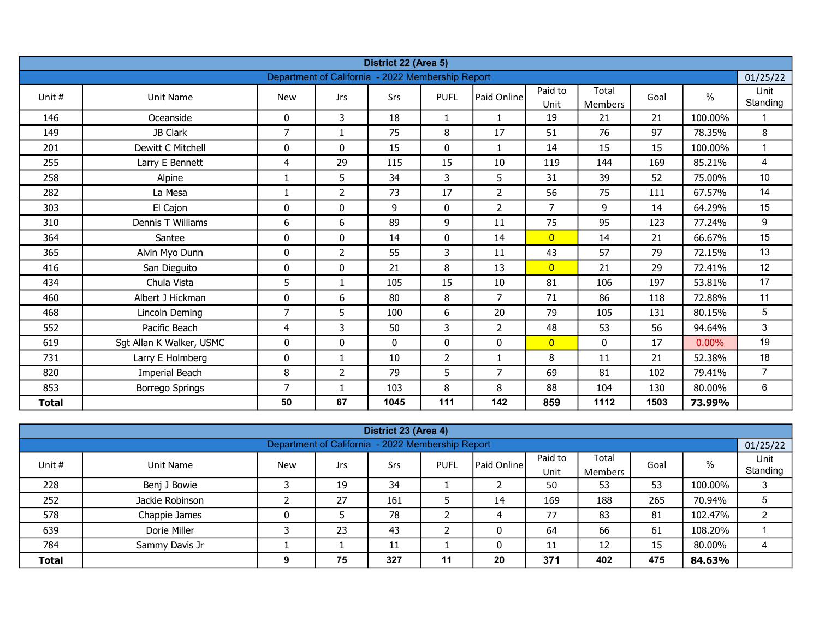| District 22 (Area 5)<br>Department of California - 2022 Membership Report |                          |                |                |      |                |                |                 |                  |      |               |                  |  |  |
|---------------------------------------------------------------------------|--------------------------|----------------|----------------|------|----------------|----------------|-----------------|------------------|------|---------------|------------------|--|--|
|                                                                           |                          |                |                |      |                |                |                 |                  |      |               | 01/25/22         |  |  |
| Unit #                                                                    | Unit Name                | <b>New</b>     | Jrs            | Srs  | <b>PUFL</b>    | Paid Online    | Paid to<br>Unit | Total<br>Members | Goal | $\frac{0}{0}$ | Unit<br>Standing |  |  |
| 146                                                                       | Oceanside                | 0              | 3              | 18   | $\mathbf{1}$   |                | 19              | 21               | 21   | 100.00%       |                  |  |  |
| 149                                                                       | JB Clark                 | $\overline{7}$ | $\mathbf{1}$   | 75   | 8              | 17             | 51              | 76               | 97   | 78.35%        | 8                |  |  |
| 201                                                                       | Dewitt C Mitchell        | 0              | 0              | 15   | $\mathbf{0}$   | $\mathbf{1}$   | 14              | 15               | 15   | 100.00%       | $\mathbf{1}$     |  |  |
| 255                                                                       | Larry E Bennett          | $\overline{4}$ | 29             | 115  | 15             | 10             | 119             | 144              | 169  | 85.21%        | 4                |  |  |
| 258                                                                       | Alpine                   |                | 5              | 34   | 3              | 5              | 31              | 39               | 52   | 75.00%        | 10               |  |  |
| 282                                                                       | La Mesa                  |                | $\overline{2}$ | 73   | 17             | $\overline{2}$ | 56              | 75               | 111  | 67.57%        | 14               |  |  |
| 303                                                                       | El Cajon                 | 0              | 0              | 9    | $\mathbf 0$    | $\overline{2}$ | $\overline{7}$  | 9                | 14   | 64.29%        | 15               |  |  |
| 310                                                                       | Dennis T Williams        | 6              | 6              | 89   | 9              | 11             | 75              | 95               | 123  | 77.24%        | 9                |  |  |
| 364                                                                       | Santee                   | 0              | 0              | 14   | $\mathbf 0$    | 14             | $\overline{0}$  | 14               | 21   | 66.67%        | 15               |  |  |
| 365                                                                       | Alvin Myo Dunn           | $\mathbf 0$    | $\overline{2}$ | 55   | 3              | 11             | 43              | 57               | 79   | 72.15%        | 13               |  |  |
| 416                                                                       | San Dieguito             | $\mathbf{0}$   | 0              | 21   | 8              | 13             | $\overline{0}$  | 21               | 29   | 72.41%        | 12               |  |  |
| 434                                                                       | Chula Vista              | 5              | $\mathbf{1}$   | 105  | 15             | 10             | 81              | 106              | 197  | 53.81%        | 17               |  |  |
| 460                                                                       | Albert J Hickman         | $\mathbf 0$    | 6              | 80   | 8              | $\overline{7}$ | 71              | 86               | 118  | 72.88%        | 11               |  |  |
| 468                                                                       | Lincoln Deming           | $\overline{7}$ | 5              | 100  | 6              | 20             | 79              | 105              | 131  | 80.15%        | 5                |  |  |
| 552                                                                       | Pacific Beach            | $\overline{4}$ | 3              | 50   | 3              | $\overline{2}$ | 48              | 53               | 56   | 94.64%        | 3                |  |  |
| 619                                                                       | Sgt Allan K Walker, USMC | 0              | 0              | 0    | 0              | 0              | $\overline{0}$  | 0                | 17   | $0.00\%$      | 19               |  |  |
| 731                                                                       | Larry E Holmberg         | 0              | $\mathbf{1}$   | 10   | $\overline{2}$ | $\mathbf{1}$   | 8               | 11               | 21   | 52.38%        | 18               |  |  |
| 820                                                                       | Imperial Beach           | 8              | $\overline{2}$ | 79   | 5              | $\overline{7}$ | 69              | 81               | 102  | 79.41%        | $\overline{7}$   |  |  |
| 853                                                                       | Borrego Springs          | $\overline{7}$ | $\mathbf{1}$   | 103  | 8              | 8              | 88              | 104              | 130  | 80.00%        | 6                |  |  |
| <b>Total</b>                                                              |                          | 50             | 67             | 1045 | 111            | 142            | 859             | 1112             | 1503 | 73.99%        |                  |  |  |

| District 23 (Area 4)<br>01/25/22                                                                                                                 |                                                   |   |    |     |    |    |     |     |     |         |                |  |  |  |  |
|--------------------------------------------------------------------------------------------------------------------------------------------------|---------------------------------------------------|---|----|-----|----|----|-----|-----|-----|---------|----------------|--|--|--|--|
|                                                                                                                                                  | Department of California - 2022 Membership Report |   |    |     |    |    |     |     |     |         |                |  |  |  |  |
| Paid to<br>Total<br>$\%$<br>Paid Online<br>Unit #<br><b>New</b><br><b>PUFL</b><br>Goal<br>Unit Name<br>Srs<br>Jrs<br>Standing<br>Unit<br>Members |                                                   |   |    |     |    |    |     |     |     |         |                |  |  |  |  |
| 228                                                                                                                                              | Benj J Bowie                                      |   | 19 | 34  |    |    | 50  | 53  | 53  | 100.00% | 3              |  |  |  |  |
| 252                                                                                                                                              | Jackie Robinson                                   |   | 27 | 161 |    | 14 | 169 | 188 | 265 | 70.94%  | 5              |  |  |  |  |
| 578                                                                                                                                              | Chappie James                                     |   |    | 78  |    | 4  | 77  | 83  | 81  | 102.47% | $\overline{2}$ |  |  |  |  |
| 639                                                                                                                                              | Dorie Miller                                      |   | 23 | 43  |    | 0  | 64  | 66  | 61  | 108.20% |                |  |  |  |  |
| 784<br>Sammy Davis Jr<br>15<br>80.00%<br>12<br>11<br>0<br>11<br>ᆠᅶ                                                                               |                                                   |   |    |     |    |    |     |     |     |         |                |  |  |  |  |
| <b>Total</b>                                                                                                                                     |                                                   | 9 | 75 | 327 | 11 | 20 | 371 | 402 | 475 | 84.63%  |                |  |  |  |  |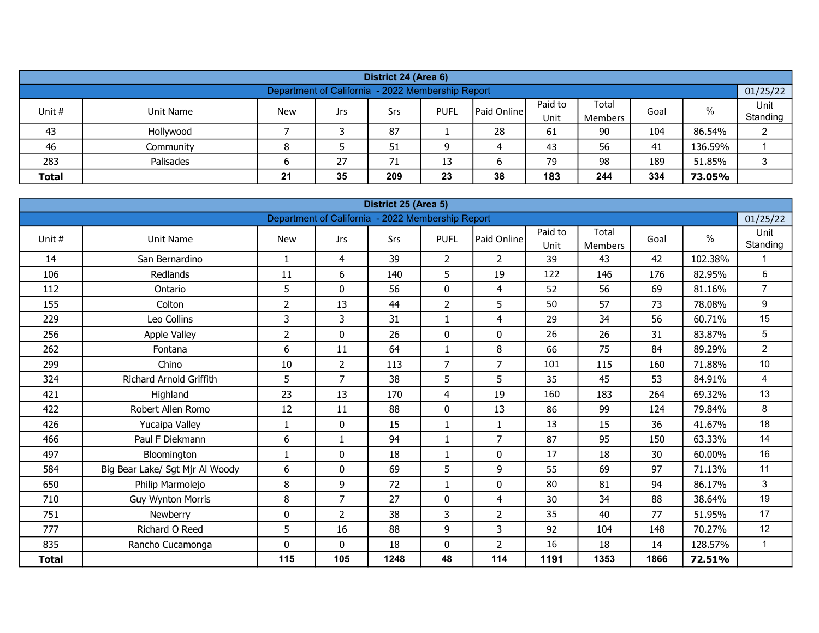| District 24 (Area 6)                                                       |                                                                                                                                             |  |  |    |  |    |    |    |     |         |   |  |  |  |
|----------------------------------------------------------------------------|---------------------------------------------------------------------------------------------------------------------------------------------|--|--|----|--|----|----|----|-----|---------|---|--|--|--|
| Department of California - 2022 Membership Report<br>01/25/22              |                                                                                                                                             |  |  |    |  |    |    |    |     |         |   |  |  |  |
| Paid to<br>Total                                                           |                                                                                                                                             |  |  |    |  |    |    |    |     |         |   |  |  |  |
|                                                                            | Unit<br>$\%$<br>Paid Online<br>Unit #<br><b>New</b><br>Unit Name<br>Srs<br><b>PUFL</b><br>Goal<br>Jrs<br>Standing<br>Unit<br><b>Members</b> |  |  |    |  |    |    |    |     |         |   |  |  |  |
| 43                                                                         | Hollywood                                                                                                                                   |  |  | 87 |  | 28 | 61 | 90 | 104 | 86.54%  | ⌒ |  |  |  |
| 46                                                                         | Community                                                                                                                                   |  |  | 51 |  |    | 43 | 56 | 41  | 136.59% |   |  |  |  |
| 283                                                                        | 189<br>Palisades<br>27<br>71<br>98<br>51.85%<br>13<br>79                                                                                    |  |  |    |  |    |    |    |     |         |   |  |  |  |
| 183<br>35<br>334<br><b>Total</b><br>21<br>209<br>23<br>38<br>244<br>73.05% |                                                                                                                                             |  |  |    |  |    |    |    |     |         |   |  |  |  |

| District 25 (Area 5)<br>Department of California - 2022 Membership Report |                                 |                |                |      |                |                |                 |                         |      |               |                  |  |  |
|---------------------------------------------------------------------------|---------------------------------|----------------|----------------|------|----------------|----------------|-----------------|-------------------------|------|---------------|------------------|--|--|
|                                                                           |                                 |                |                |      |                |                |                 |                         |      |               | 01/25/22         |  |  |
| Unit #                                                                    | <b>Unit Name</b>                | <b>New</b>     | <b>Jrs</b>     | Srs  | <b>PUFL</b>    | Paid Online    | Paid to<br>Unit | Total<br><b>Members</b> | Goal | $\frac{0}{0}$ | Unit<br>Standing |  |  |
| 14                                                                        | San Bernardino                  | $\mathbf{1}$   | 4              | 39   | $\overline{2}$ | 2              | 39              | 43                      | 42   | 102.38%       | 1                |  |  |
| 106                                                                       | Redlands                        | 11             | 6              | 140  | 5              | 19             | 122             | 146                     | 176  | 82.95%        | 6                |  |  |
| 112                                                                       | Ontario                         | 5              | $\mathbf{0}$   | 56   | 0              | 4              | 52              | 56                      | 69   | 81.16%        | $\overline{7}$   |  |  |
| 155                                                                       | Colton                          | $\overline{2}$ | 13             | 44   | $\overline{2}$ | 5              | 50              | 57                      | 73   | 78.08%        | 9                |  |  |
| 229                                                                       | Leo Collins                     | 3              | 3              | 31   | $\mathbf{1}$   | 4              | 29              | 34                      | 56   | 60.71%        | 15               |  |  |
| 256                                                                       | Apple Valley                    | $\overline{2}$ | $\mathbf 0$    | 26   | $\mathbf 0$    | $\pmb{0}$      | 26              | 26                      | 31   | 83.87%        | 5                |  |  |
| 262                                                                       | Fontana                         | 6              | 11             | 64   | $\mathbf{1}$   | 8              | 66              | 75                      | 84   | 89.29%        | $\overline{2}$   |  |  |
| 299                                                                       | Chino                           | 10             | $\overline{2}$ | 113  | $\overline{7}$ | $\overline{7}$ | 101             | 115                     | 160  | 71.88%        | 10 <sup>°</sup>  |  |  |
| 324                                                                       | <b>Richard Arnold Griffith</b>  | 5              | $\overline{7}$ | 38   | 5              | 5              | 35              | 45                      | 53   | 84.91%        | 4                |  |  |
| 421                                                                       | Highland                        | 23             | 13             | 170  | $\overline{4}$ | 19             | 160             | 183                     | 264  | 69.32%        | 13               |  |  |
| 422                                                                       | Robert Allen Romo               | 12             | 11             | 88   | $\mathbf 0$    | 13             | 86              | 99                      | 124  | 79.84%        | 8                |  |  |
| 426                                                                       | Yucaipa Valley                  | $\mathbf{1}$   | 0              | 15   | $\mathbf{1}$   | $\mathbf{1}$   | 13              | 15                      | 36   | 41.67%        | 18               |  |  |
| 466                                                                       | Paul F Diekmann                 | 6              | $\mathbf{1}$   | 94   | $\mathbf 1$    | $\overline{7}$ | 87              | 95                      | 150  | 63.33%        | 14               |  |  |
| 497                                                                       | Bloomington                     | $\mathbf{1}$   | $\mathbf 0$    | 18   | $\mathbf{1}$   | $\pmb{0}$      | 17              | 18                      | 30   | 60.00%        | 16               |  |  |
| 584                                                                       | Big Bear Lake/ Sgt Mjr Al Woody | 6              | $\mathbf{0}$   | 69   | 5              | 9              | 55              | 69                      | 97   | 71.13%        | 11               |  |  |
| 650                                                                       | Philip Marmolejo                | 8              | 9              | 72   | $\mathbf{1}$   | $\pmb{0}$      | 80              | 81                      | 94   | 86.17%        | 3                |  |  |
| 710                                                                       | <b>Guy Wynton Morris</b>        | 8              | $\overline{7}$ | 27   | 0              | 4              | 30              | 34                      | 88   | 38.64%        | 19               |  |  |
| 751                                                                       | Newberry                        | $\mathbf 0$    | $\overline{2}$ | 38   | 3              | $\overline{2}$ | 35              | 40                      | 77   | 51.95%        | 17               |  |  |
| 777                                                                       | Richard O Reed                  | 5              | 16             | 88   | 9              | 3              | 92              | 104                     | 148  | 70.27%        | 12               |  |  |
| 835                                                                       | Rancho Cucamonga                | 0              | $\mathbf 0$    | 18   | $\mathbf 0$    | $\overline{2}$ | 16              | 18                      | 14   | 128.57%       | $\mathbf{1}$     |  |  |
| <b>Total</b>                                                              |                                 | 115            | 105            | 1248 | 48             | 114            | 1191            | 1353                    | 1866 | 72.51%        |                  |  |  |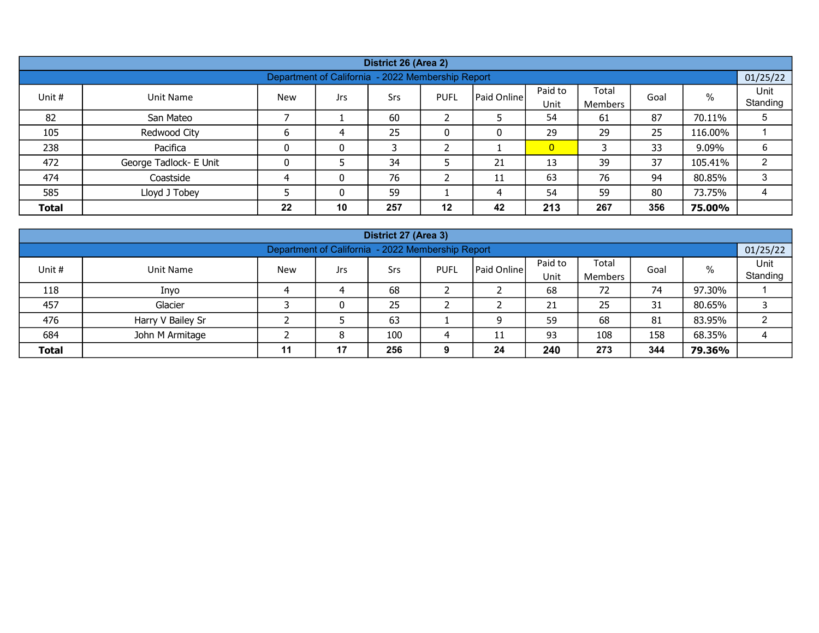| District 26 (Area 2)<br>01/25/22                                                                                                                      |                                                   |    |    |     |    |    |                |     |     |         |   |  |  |  |  |
|-------------------------------------------------------------------------------------------------------------------------------------------------------|---------------------------------------------------|----|----|-----|----|----|----------------|-----|-----|---------|---|--|--|--|--|
|                                                                                                                                                       | Department of California - 2022 Membership Report |    |    |     |    |    |                |     |     |         |   |  |  |  |  |
| Paid to<br>Total<br>$\%$<br>Unit #<br>  Paid Online  <br>Srs<br>Unit Name<br><b>New</b><br><b>PUFL</b><br>Goal<br>Jrs.<br>Standing<br>Unit<br>Members |                                                   |    |    |     |    |    |                |     |     |         |   |  |  |  |  |
| 82                                                                                                                                                    | San Mateo                                         |    |    | 60  |    |    | 54             | 61  | 87  | 70.11%  | 5 |  |  |  |  |
| 105                                                                                                                                                   | Redwood City                                      |    |    | 25  |    |    | 29             | 29  | 25  | 116.00% |   |  |  |  |  |
| 238                                                                                                                                                   | Pacifica                                          |    | 0  |     |    |    | $\overline{0}$ |     | 33  | 9.09%   | 6 |  |  |  |  |
| 472                                                                                                                                                   | George Tadlock- E Unit                            |    |    | 34  |    | 21 | 13             | 39  | 37  | 105.41% | 2 |  |  |  |  |
| 474                                                                                                                                                   | Coastside                                         | 4  | 0  | 76  |    | 11 | 63             | 76  | 94  | 80.85%  | 3 |  |  |  |  |
| 80<br>585<br>Lloyd J Tobey<br>59<br>59<br>73.75%<br>0<br>54                                                                                           |                                                   |    |    |     |    |    |                |     |     |         |   |  |  |  |  |
| <b>Total</b>                                                                                                                                          |                                                   | 22 | 10 | 257 | 12 | 42 | 213            | 267 | 356 | 75.00%  |   |  |  |  |  |

| District 27 (Area 3)<br>01/25/22                                                                                                                        |                   |  |   |    |  |   |    |    |    |        |  |  |  |  |
|---------------------------------------------------------------------------------------------------------------------------------------------------------|-------------------|--|---|----|--|---|----|----|----|--------|--|--|--|--|
| Department of California - 2022 Membership Report                                                                                                       |                   |  |   |    |  |   |    |    |    |        |  |  |  |  |
| Paid to<br>Total<br>Paid Online<br>$\%$<br><b>PUFL</b><br>Unit #<br><b>Unit Name</b><br><b>New</b><br>Goal<br>Srs<br>Jrs<br>Standing<br>Unit<br>Members |                   |  |   |    |  |   |    |    |    |        |  |  |  |  |
| 118                                                                                                                                                     | Inyo              |  |   | 68 |  |   | 68 | 72 | 74 | 97.30% |  |  |  |  |
| 457                                                                                                                                                     | Glacier           |  | 0 | 25 |  |   | 21 | 25 | 31 | 80.65% |  |  |  |  |
| 476                                                                                                                                                     | Harry V Bailey Sr |  |   | 63 |  | 9 | 59 | 68 | 81 | 83.95% |  |  |  |  |
| 684<br>100<br>108<br>158<br>John M Armitage<br>68.35%<br>8<br>93<br>11                                                                                  |                   |  |   |    |  |   |    |    |    |        |  |  |  |  |
| 240<br>17<br>256<br>273<br>344<br><b>Total</b><br>24<br>79.36%<br>11                                                                                    |                   |  |   |    |  |   |    |    |    |        |  |  |  |  |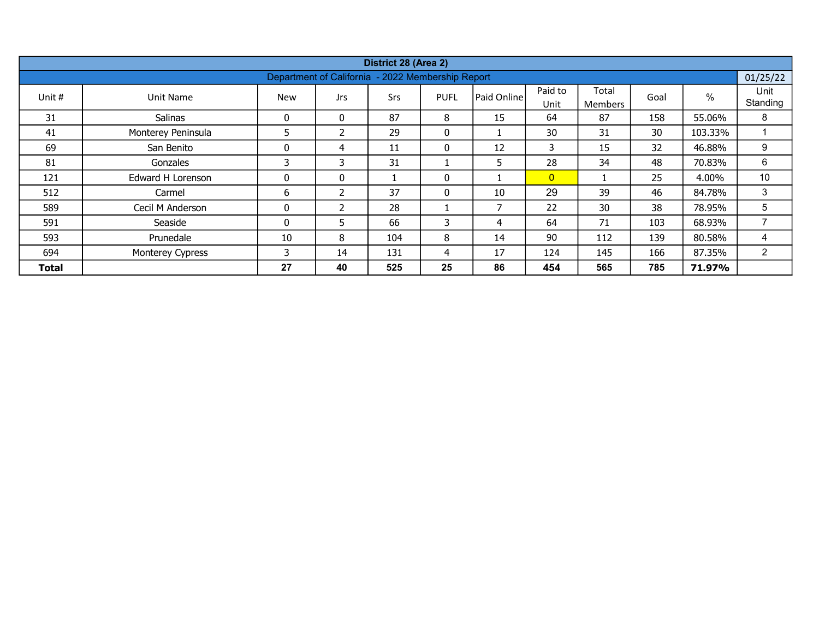| District 28 (Area 2) |                         |             |                                                   |     |             |             |                 |                         |      |         |                  |  |  |  |
|----------------------|-------------------------|-------------|---------------------------------------------------|-----|-------------|-------------|-----------------|-------------------------|------|---------|------------------|--|--|--|
|                      |                         |             | Department of California - 2022 Membership Report |     |             |             |                 |                         |      |         | 01/25/22         |  |  |  |
| Unit #               | Unit Name               | <b>New</b>  | <b>Jrs</b>                                        | Srs | <b>PUFL</b> | Paid Online | Paid to<br>Unit | Total<br><b>Members</b> | Goal | %       | Unit<br>Standing |  |  |  |
| 31                   | Salinas                 | 0           | $\mathbf{0}$                                      | 87  | 8           | 15          | 64              | 87                      | 158  | 55.06%  | 8                |  |  |  |
| 41                   | Monterey Peninsula      | 5           | $\overline{\mathcal{L}}$                          | 29  | 0           |             | 30              | 31                      | 30   | 103.33% |                  |  |  |  |
| 69                   | San Benito              | 0           | 4                                                 | 11  | 0           | 12          | 3               | 15                      | 32   | 46.88%  | 9                |  |  |  |
| 81                   | Gonzales                | 3           | 3                                                 | 31  |             | 5           | 28              | 34                      | 48   | 70.83%  | 6                |  |  |  |
| 121                  | Edward H Lorenson       | $\mathbf 0$ | $\mathbf{0}$                                      |     | 0           |             | $\overline{0}$  |                         | 25   | 4.00%   | 10               |  |  |  |
| 512                  | Carmel                  | 6           | $\overline{\mathcal{L}}$                          | 37  | 0           | 10          | 29              | 39                      | 46   | 84.78%  | 3                |  |  |  |
| 589                  | Cecil M Anderson        | $\mathbf 0$ |                                                   | 28  |             | 7           | 22              | 30                      | 38   | 78.95%  | 5                |  |  |  |
| 591                  | Seaside                 | $\Omega$    | 5                                                 | 66  | 3           | 4           | 64              | 71                      | 103  | 68.93%  | $\overline{ }$   |  |  |  |
| 593                  | Prunedale               | 10          | 8                                                 | 104 | 8           | 14          | 90              | 112                     | 139  | 80.58%  | 4                |  |  |  |
| 694                  | <b>Monterey Cypress</b> | 3           | 14                                                | 131 | 4           | 17          | 124             | 145                     | 166  | 87.35%  | $\overline{2}$   |  |  |  |
| <b>Total</b>         |                         | 27          | 40                                                | 525 | 25          | 86          | 454             | 565                     | 785  | 71.97%  |                  |  |  |  |